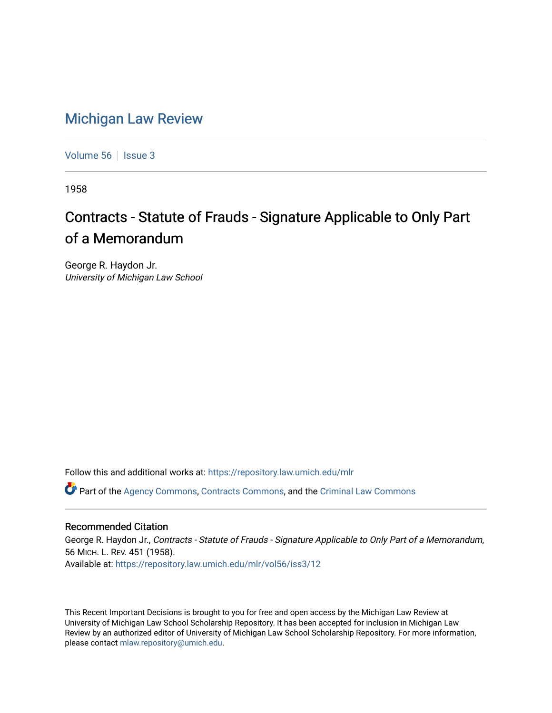## [Michigan Law Review](https://repository.law.umich.edu/mlr)

[Volume 56](https://repository.law.umich.edu/mlr/vol56) | [Issue 3](https://repository.law.umich.edu/mlr/vol56/iss3)

1958

## Contracts - Statute of Frauds - Signature Applicable to Only Part of a Memorandum

George R. Haydon Jr. University of Michigan Law School

Follow this and additional works at: [https://repository.law.umich.edu/mlr](https://repository.law.umich.edu/mlr?utm_source=repository.law.umich.edu%2Fmlr%2Fvol56%2Fiss3%2F12&utm_medium=PDF&utm_campaign=PDFCoverPages) 

Part of the [Agency Commons,](http://network.bepress.com/hgg/discipline/829?utm_source=repository.law.umich.edu%2Fmlr%2Fvol56%2Fiss3%2F12&utm_medium=PDF&utm_campaign=PDFCoverPages) [Contracts Commons](http://network.bepress.com/hgg/discipline/591?utm_source=repository.law.umich.edu%2Fmlr%2Fvol56%2Fiss3%2F12&utm_medium=PDF&utm_campaign=PDFCoverPages), and the [Criminal Law Commons](http://network.bepress.com/hgg/discipline/912?utm_source=repository.law.umich.edu%2Fmlr%2Fvol56%2Fiss3%2F12&utm_medium=PDF&utm_campaign=PDFCoverPages)

## Recommended Citation

George R. Haydon Jr., Contracts - Statute of Frauds - Signature Applicable to Only Part of a Memorandum, 56 MICH. L. REV. 451 (1958). Available at: [https://repository.law.umich.edu/mlr/vol56/iss3/12](https://repository.law.umich.edu/mlr/vol56/iss3/12?utm_source=repository.law.umich.edu%2Fmlr%2Fvol56%2Fiss3%2F12&utm_medium=PDF&utm_campaign=PDFCoverPages) 

This Recent Important Decisions is brought to you for free and open access by the Michigan Law Review at University of Michigan Law School Scholarship Repository. It has been accepted for inclusion in Michigan Law Review by an authorized editor of University of Michigan Law School Scholarship Repository. For more information, please contact [mlaw.repository@umich.edu.](mailto:mlaw.repository@umich.edu)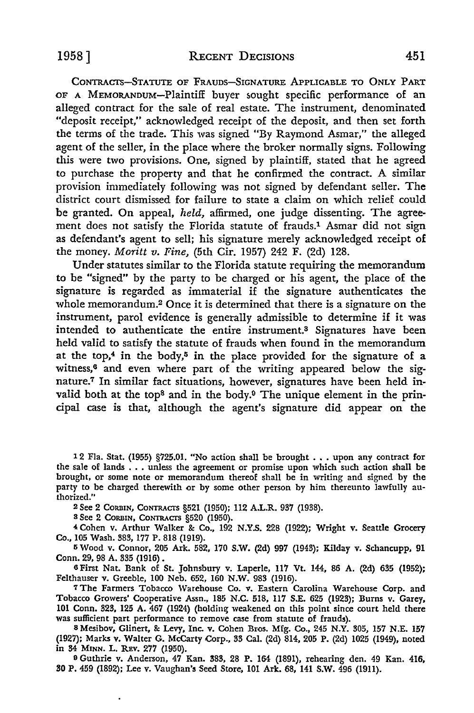CONTRACTS-STATUTE OF FRAUDS-SIGNATURE APPLICABLE TO ONLY PART OF A MEMORANDUM-Plaintiff buyer sought specific performance of an alleged contract for the sale of real estate. The instrument, denominated "deposit receipt," acknowledged receipt of the deposit, and then set forth the terms of the trade. This was signed "By Raymond Asmar," the alleged agent of the seller, in the place where the broker normally signs. Following this were two provisions. One, signed by plaintiff, stated that he agreed to purchase the property and that he confirmed the contract. A similar provision immediately following was not signed by defendant seller. The district court dismissed for failure to state a claim on which relief could be granted. On appeal, *held,* affirmed, one judge dissenting. The agreement does not satisfy the Florida statute of frauds.1 Asmar did not sign as defendant's agent to sell; his signature merely acknowledged receipt of the money. *Moritt v. Fine,* (5th Cir. 1957) 242 F. (2d) 128.

Under statutes similar to the Florida statute requiring the memorandum to be "signed" by the party to be charged or his agent, the place of the signature is regarded as immaterial if the signature authenticates the whole memorandum.2 Once it is determined that there is a signature on the instrument, parol evidence is generally admissible to determine if it was intended to authenticate the entire instrument.3 Signatures have been held valid to satisfy the statute of frauds when found in the memorandum at the top,<sup>4</sup> in the body,<sup>5</sup> in the place provided for the signature of a witness,<sup>6</sup> and even where part of the writing appeared below the signature.7 In similar fact situations, however, signatures have been held invalid both at the top<sup>8</sup> and in the body.<sup>9</sup> The unique element in the principal case is that, although the agent's signature did appear on the

12 Fla. Stat. (1955) §725.01. "No action shall be brought . . . upon any contract for the sale of lands ..• unless the agreement or promise upon which such action shall be brought, or some note or memorandum thereof shall be in writing and signed by the party to be charged therewith or by some other person by him thereunto lawfully authorized."

2 See 2 CORBIN, CONTRACTS §521 (1950); 112 A.L.R. 937 (1938).

8 See 2 CORBIN, CONTRACTS §520 (1950).

4 Cohen v. Arthur Walker &: Co., 192 N.Y.S. 228 (1922); Wright v. Seattle Grocery Co., 105 Wash. 383, 177 P. 818 (1919).

I> Wood v. Connor, 205 Ark. 582, 170 S.W. (2d) 997 (1943); Kilday v. Schancupp, 91 Conn. 29, 98 A. 335 (1916).

6 First Nat. Bank of St. Johnsbury v. Laperle, 117 Vt. 144, 86 A. (2d) 635 (1952); Felthauser v. Greeble, 100 Neb. 652, 160 N.W. 983 (1916).

<sup>7</sup>The Farmers Tobacco Warehouse Co. v. Eastern Carolina Warehouse Corp. and Tobacco Growers' Cooperative Assn., 185 N.C. 518, 117 S.E. 625 (1923); Burns v. Garey, 101 Conn. 323, 125 A. 467 (1924) (holding weakened on this point since court held there was sufficient part performance to remove case from statute of frauds).

s Mesibov, Glinert, &: Levy, Inc. v. Cohen Bros. Mfg. Co., 245 N.Y. 305, 157 N.E. 157 (1927); Marks v. Walter G. McCarty Corp., 33 Cal. (2d) 814, 205 P. (2d) 1025 (1949), noted in 34 MINN. L. REv. 277 (1950).

o Guthrie v. Anderson, 47 Kan. 383, 28 P. 164 (1891), rehearing den. 49 Kan. 416, 30 P. 459 (1892); Lee v. Vaughan's Seed Store, 101 Ark. 68, 141 S.W. 496 (1911).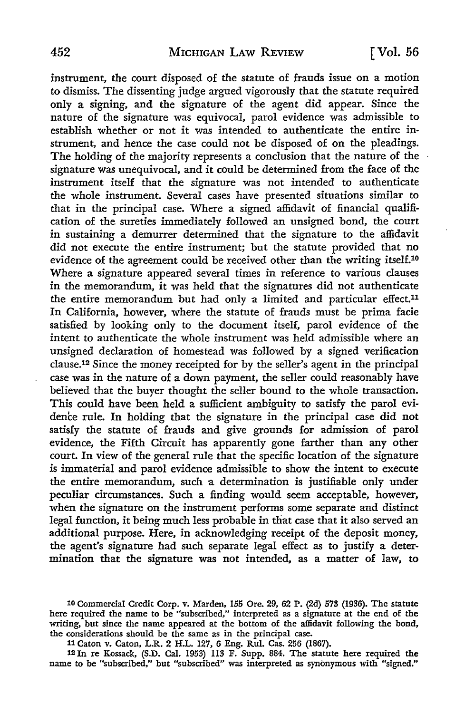instrument, the court disposed of the statute of frauds issue on a motion to dismiss. The dissenting judge argued vigorously that the statute required only a signing, and the signature of the agent did appear. Since the nature of the signature was equivocal, parol evidence was admissible to establish whether or not it was intended to authenticate the entire instrument, and hence the case could not be disposed of on the pleadings. The holding of the majority represents a conclusion that the nature of the signature was unequivocal, and it could be determined from the face of the instrument itself that the signature was not intended to authenticate the whole instrument. Several cases have presented situations similar to that in the principal case. Where a signed affidavit of financial qualification of the sureties immediately followed an unsigned bond, the court in sustaining a demurrer determined that the signature to the affidavit did not execute the entire instrument; but the statute provided that no evidence of the agreement could be received other than the writing itself.10 Where a signature appeared several times in reference to various clauses in the memorandum, it was held that the signatures did not authenticate the entire memorandum but had only a limited and particular effect.<sup>11</sup> In California, however, where the statute of frauds must be prima facie satisfied by looking only to the document itself, parol evidence of the intent to authenticate the whole instrument was held admissible where an unsigned declaration of homestead was followed by a signed verification clause.12 Since the money receipted for by the seller's agent in the principal case was in the nature of a down payment, the seller could reasonably have believed that the buyer thought the seller bound to the whole transaction. This could have been held a sufficient ambiguity to satisfy the parol evidence rule. In holding that the signature in the principal case did not satisfy the statute of frauds and give grounds for admission of parol evidence, the Fifth Circuit has apparently gone farther than any other court. In view of the general rule that the specific location of the signature is immaterial and parol evidence admissible to show the intent to execute the entire memorandum, such a determination is justifiable only under peculiar circumstances. Such a finding would seem acceptable, however, when the signature on the instrument performs some separate and distinct legal function, it being much less probable in that case that it also served an additional purpose. Here, in acknowledging receipt of the deposit money, the agent's signature had such separate legal effect as to justify a determination that the signature was not intended, as a matter of law, to

12 In re Kossack, (S.D. Cal. 1953) 113 F. Supp. 884. The statute here required the name to *be* "subscribed," but "subscribed" was interpreted as synonymous with "signed."

<sup>10</sup> Commercial Credit Corp. v. Marden, 155 Ore. 29, 62 P. (2d) 573 (1936). The statute here required the name to be "subscribed," interpreted as a signature at the end of the writing, but since the name appeared at the bottom of the affidavit following the bond, the considerations should be the same as in the principal case.

<sup>11</sup> Caton v. Caton, L.R. 2 H.L. 127, 6 Eng. Rul. Cas. 256 (1867).